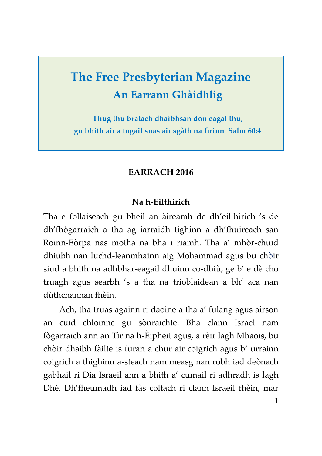# **The Free Presbyterian Magazine An Earrann Ghàidhlig**

**Thug thu bratach dhaibhsan don eagal thu, gu bhith air a togail suas air sgàth na fìrinn Salm 60:4**

## **EARRACH 2016**

## **Na h-Eilthirich**

Tha e follaiseach gu bheil an àireamh de dh'eilthirich 's de dh'fhògarraich a tha ag iarraidh tighinn a dh'fhuireach san Roinn-Eòrpa nas motha na bha i riamh. Tha a' mhòr-chuid dhiubh nan luchd-leanmhainn aig Mohammad agus bu chòir siud a bhith na adhbhar-eagail dhuinn co-dhiù, ge b' e dè cho truagh agus searbh 's a tha na trioblaidean a bh' aca nan dùthchannan fhèin.

Ach, tha truas againn ri daoine a tha a' fulang agus airson an cuid chloinne gu sònraichte. Bha clann Israel nam fògarraich ann an Tìr na h-Èipheit agus, a rèir lagh Mhaois, bu chòir dhaibh fàilte is furan a chur air coigrich agus b' urrainn coigrich a thighinn a-steach nam measg nan robh iad deònach gabhail ri Dia Israeil ann a bhith a' cumail ri adhradh is lagh Dhè. Dh'fheumadh iad fàs coltach ri clann Israeil fhèin, mar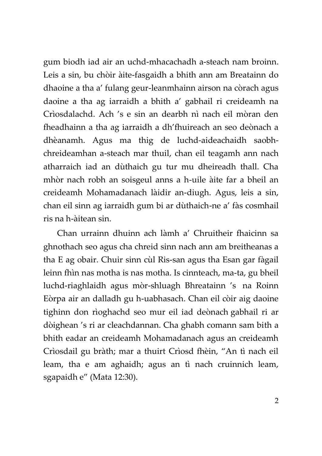gum biodh iad air an uchd-mhacachadh a-steach nam broinn. Leis a sin, bu chòir àite-fasgaidh a bhith ann am Breatainn do dhaoine a tha a' fulang geur-leanmhainn airson na còrach agus daoine a tha ag iarraidh a bhith a' gabhail ri creideamh na Crìosdalachd. Ach 's e sin an dearbh nì nach eil mòran den fheadhainn a tha ag iarraidh a dh'fhuireach an seo deònach a dhèanamh. Agus ma thig de luchd-aideachaidh saobhchreideamhan a-steach mar thuil, chan eil teagamh ann nach atharraich iad an dùthaich gu tur mu dheireadh thall. Cha mhòr nach robh an soisgeul anns a h-uile àite far a bheil an creideamh Mohamadanach làidir an-diugh. Agus, leis a sin, chan eil sinn ag iarraidh gum bi ar dùthaich-ne a' fàs cosmhail ris na h-àitean sin.

Chan urrainn dhuinn ach làmh a' Chruitheir fhaicinn sa ghnothach seo agus cha chreid sinn nach ann am breitheanas a tha E ag obair. Chuir sinn cùl Ris-san agus tha Esan gar fàgail leinn fhìn nas motha is nas motha. Is cinnteach, ma-ta, gu bheil luchd-riaghlaidh agus mòr-shluagh Bhreatainn 's na Roinn Eòrpa air an dalladh gu h-uabhasach. Chan eil còir aig daoine tighinn don rìoghachd seo mur eil iad deònach gabhail ri ar dòighean 's ri ar cleachdannan. Cha ghabh comann sam bith a bhith eadar an creideamh Mohamadanach agus an creideamh Crìosdail gu bràth; mar a thuirt Crìosd fhèin, "An tì nach eil leam, tha e am aghaidh; agus an tì nach cruinnich leam, sgapaidh e" (Mata 12:30).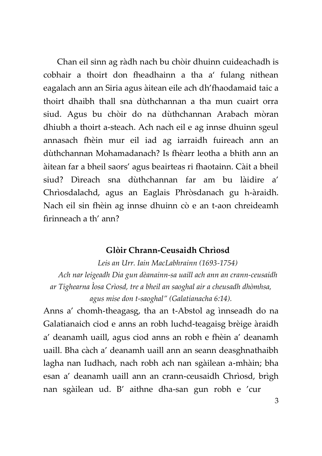Chan eil sinn ag ràdh nach bu chòir dhuinn cuideachadh is cobhair a thoirt don fheadhainn a tha a' fulang nithean eagalach ann an Siria agus àitean eile ach dh'fhaodamaid taic a thoirt dhaibh thall sna dùthchannan a tha mun cuairt orra siud. Agus bu chòir do na dùthchannan Arabach mòran dhiubh a thoirt a-steach. Ach nach eil e ag innse dhuinn sgeul annasach fhèin mur eil iad ag iarraidh fuireach ann an dùthchannan Mohamadanach? Is fhèarr leotha a bhith ann an àitean far a bheil saors' agus beairteas ri fhaotainn. Càit a bheil siud? Dìreach sna dùthchannan far am bu làidire a' Chrìosdalachd, agus an Eaglais Phròsdanach gu h-àraidh. Nach eil sin fhèin ag innse dhuinn cò e an t-aon chreideamh fìrinneach a th' ann?

#### **Glòir Chrann-Ceusaidh Chrìosd**

*Leis an Urr. Iain MacLabhrainn (1693-1754) Ach nar leigeadh Dia gun dèanainn-sa uaill ach ann an crann-ceusaidh ar Tighearna Ìosa Crìosd, tre a bheil an saoghal air a cheusadh dhòmhsa, agus mise don t-saoghal" (Galatianacha 6:14).*

Anns a' chomh-theagasg, tha an t-Abstol ag ìnnseadh do na Galatianaich ciod e anns an robh luchd-teagaisg brèige àraidh a' deanamh uaill, agus ciod anns an robh e fhèin a' deanamh uaill. Bha càch a' deanamh uaill ann an seann deasghnathaibh lagha nan Iudhach, nach robh ach nan sgàilean a-mhàin; bha esan a' deanamh uaill ann an crann-ceusaidh Chrìosd, brìgh nan sgàilean ud. B' aithne dha-san gun robh e 'cur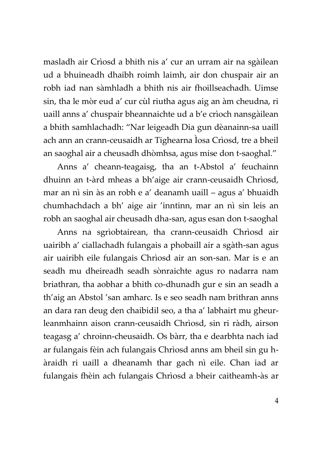masladh air Crìosd a bhith nis a' cur an urram air na sgàilean ud a bhuineadh dhaibh roimh laimh, air don chuspair air an robh iad nan sàmhladh a bhith nis air fhoillseachadh. Uimse sin, tha le mòr eud a' cur cùl riutha agus aig an àm cheudna, ri uaill anns a' chuspair bheannaichte ud a b'e crìoch nansgàilean a bhith samhlachadh: "Nar leigeadh Dia gun dèanainn-sa uaill ach ann an crann-ceusaidh ar Tighearna Ìosa Crìosd, tre a bheil an saoghal air a cheusadh dhòmhsa, agus mise don t-saoghal."

Anns a' cheann-teagaisg, tha an t-Abstol a' feuchainn dhuinn an t-àrd mheas a bh'aige air crann-ceusaidh Chrìosd, mar an nì sin às an robh e a' deanamh uaill – agus a' bhuaidh chumhachdach a bh' aige air 'inntinn, mar an nì sin leis an robh an saoghal air cheusadh dha-san, agus esan don t-saoghal

Anns na sgrìobtairean, tha crann-ceusaidh Chrìosd air uairibh a' ciallachadh fulangais a phobaill air a sgàth-san agus air uairibh eile fulangais Chrìosd air an son-san. Mar is e an seadh mu dheireadh seadh sònraichte agus ro nadarra nam briathran, tha aobhar a bhith co-dhunadh gur e sin an seadh a th'aig an Abstol 'san amharc. Is e seo seadh nam brithran anns an dara ran deug den chaibidil seo, a tha a' labhairt mu gheurleanmhainn aison crann-ceusaidh Chrìosd, sin ri ràdh, airson teagasg a' chroinn-cheusaidh. Os bàrr, tha e dearbhta nach iad ar fulangais fèin ach fulangais Chrìosd anns am bheil sin gu hàraidh ri uaill a dheanamh thar gach nì eile. Chan iad ar fulangais fhèin ach fulangais Chrìosd a bheir caitheamh-às ar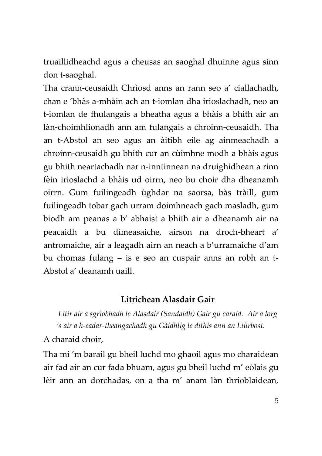truaillidheachd agus a cheusas an saoghal dhuinne agus sinn don t-saoghal.

Tha crann-ceusaidh Chrìosd anns an rann seo a' ciallachadh, chan e 'bhàs a-mhàin ach an t-iomlan dha irioslachadh, neo an t-iomlan de fhulangais a bheatha agus a bhàis a bhith air an làn-choimhlionadh ann am fulangais a chroinn-ceusaidh. Tha an t-Abstol an seo agus an àitibh eile ag ainmeachadh a chroinn-ceusaidh gu bhith cur an cùimhne modh a bhàis agus gu bhith neartachadh nar n-inntinnean na druighidhean a rinn fèin irioslachd a bhàis ud oirrn, neo bu choir dha dheanamh oirrn. Gum fuilingeadh ùghdar na saorsa, bàs tràill, gum fuilingeadh tobar gach urram doimhneach gach masladh, gum biodh am peanas a b' abhaist a bhith air a dheanamh air na peacaidh a bu dìmeasaiche, airson na droch-bheart a' antromaiche, air a leagadh airn an neach a b'urramaiche d'am bu chomas fulang – is e seo an cuspair anns an robh an t-Abstol a' deanamh uaill.

## **Litrichean Alasdair Gair**

*Litir air a sgrìobhadh le Alasdair (Sandaidh) Gair gu caraid. Air a lorg 's air a h-eadar-theangachadh gu Gàidhlig le dithis ann an Liùrbost.*

### A charaid choir,

Tha mi 'm barail gu bheil luchd mo ghaoil agus mo charaidean air fad air an cur fada bhuam, agus gu bheil luchd m' eòlais gu lèir ann an dorchadas, on a tha m' anam làn thrioblaidean,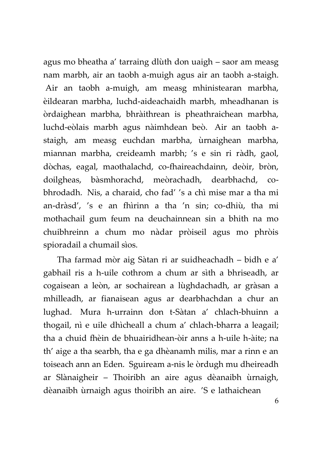agus mo bheatha a' tarraing dlùth don uaigh – saor am measg nam marbh, air an taobh a-muigh agus air an taobh a-staigh. Air an taobh a-muigh, am measg mhinistearan marbha, èildearan marbha, luchd-aideachaidh marbh, mheadhanan is òrdaighean marbha, bhràithrean is pheathraichean marbha, luchd-eòlais marbh agus nàimhdean beò. Air an taobh astaigh, am measg euchdan marbha, ùrnaighean marbha, miannan marbha, creideamh marbh; 's e sin ri ràdh, gaol, dòchas, eagal, maothalachd, co-fhaireachdainn, deòir, bròn, doilgheas, bàsmhorachd, meòrachadh, dearbhachd, cobhrodadh. Nis, a charaid, cho fad' 's a chì mise mar a tha mi an-dràsd', 's e an fhìrinn a tha 'n sin; co-dhiù, tha mi mothachail gum feum na deuchainnean sin a bhith na mo chuibhreinn a chum mo nàdar pròiseil agus mo phròis spioradail a chumail sìos.

Tha farmad mòr aig Sàtan ri ar suidheachadh – bidh e a' gabhail ris a h-uile cothrom a chum ar sìth a bhriseadh, ar cogaisean a leòn, ar sochairean a lùghdachadh, ar gràsan a mhilleadh, ar fianaisean agus ar dearbhachdan a chur an lughad. Mura h-urrainn don t-Sàtan a' chlach-bhuinn a thogail, nì e uile dhìcheall a chum a' chlach-bharra a leagail; tha a chuid fhèin de bhuairidhean-òir anns a h-uile h-àite; na th' aige a tha searbh, tha e ga dhèanamh milis, mar a rinn e an toiseach ann an Eden. Sguiream a-nis le òrdugh mu dheireadh ar Slànaigheir – Thoiribh an aire agus dèanaibh ùrnaigh, dèanaibh ùrnaigh agus thoiribh an aire. 'S e lathaichean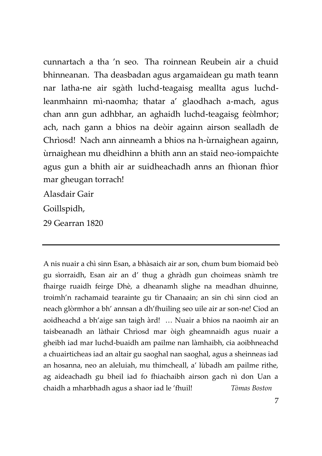cunnartach a tha 'n seo. Tha roinnean Reubein air a chuid bhinneanan. Tha deasbadan agus argamaidean gu math teann nar latha-ne air sgàth luchd-teagaisg meallta agus luchdleanmhainn mì-naomha; thatar a' glaodhach a-mach, agus chan ann gun adhbhar, an aghaidh luchd-teagaisg feòlmhor; ach, nach gann a bhios na deòir againn airson sealladh de Chrìosd! Nach ann ainneamh a bhios na h-ùrnaighean againn, ùrnaighean mu dheidhinn a bhith ann an staid neo-iompaichte agus gun a bhith air ar suidheachadh anns an fhìonan fhìor mar gheugan torrach!

Alasdair Gair

Goillspidh,

29 Gearran 1820

A nis nuair a chì sinn Esan, a bhàsaich air ar son, chum bum biomaid beò gu sìorraidh, Esan air an d' thug a ghràdh gun choimeas snàmh tre fhairge ruaidh feirge Dhè, a dheanamh slighe na meadhan dhuinne, troimh'n rachamaid tearainte gu tìr Chanaain; an sin chì sinn ciod an neach glòrmhor a bh' annsan a dh'fhuiling seo uile air ar son-ne! Ciod an aoidheachd a bh'aige san taigh àrd! … Nuair a bhios na naoimh air an taisbeanadh an làthair Chrìosd mar òigh gheamnaidh agus nuair a gheibh iad mar luchd-buaidh am pailme nan làmhaibh, cia aoibhneachd a chuairticheas iad an altair gu saoghal nan saoghal, agus a sheinneas iad an hosanna, neo an aleluiah, mu thimcheall, a' lùbadh am pailme rithe, ag aideachadh gu bheil iad fo fhiachaibh airson gach nì don Uan a chaidh a mharbhadh agus a shaor iad le 'fhuil! *Tòmas Boston*